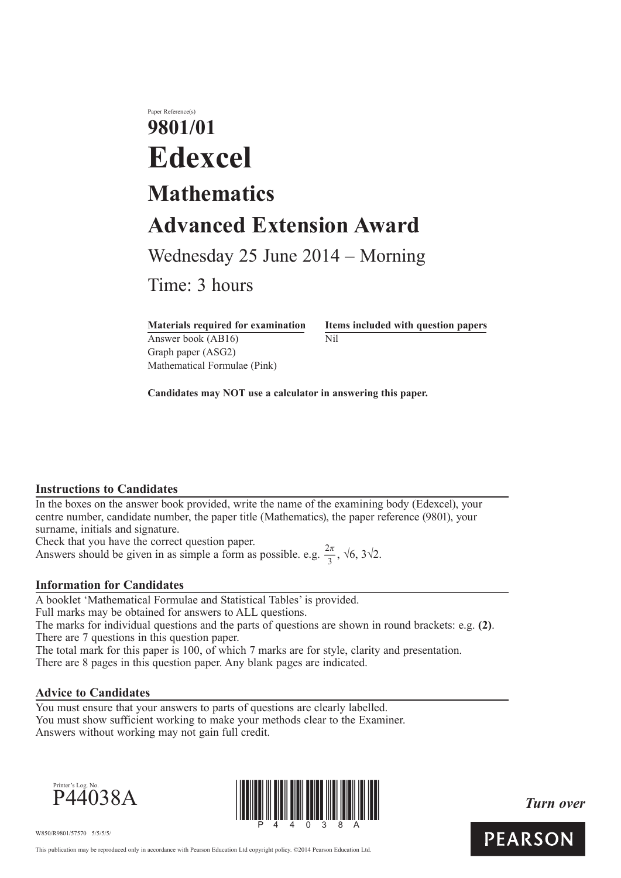# Paper Reference(s) **9801/01 Edexcel Mathematics Advanced Extension Award**

Wednesday 25 June 2014 – Morning

Time: 3 hours

Answer book (AB16) Nil Graph paper (ASG2) Mathematical Formulae (Pink)

**Materials required for examination Items included with question papers**

**Candidates may NOT use a calculator in answering this paper.**

## **Instructions to Candidates**

In the boxes on the answer book provided, write the name of the examining body (Edexcel), your centre number, candidate number, the paper title (Mathematics), the paper reference (9801), your surname, initials and signature.

Check that you have the correct question paper.

Answers should be given in as simple a form as possible. e.g.  $\frac{2\pi}{3}$ ,  $\sqrt{6}$ ,  $3\sqrt{2}$ .

## **Information for Candidates**

A booklet 'Mathematical Formulae and Statistical Tables' is provided. Full marks may be obtained for answers to ALL questions.

The marks for individual questions and the parts of questions are shown in round brackets: e.g. **(2)**. There are 7 questions in this question paper.

The total mark for this paper is 100, of which 7 marks are for style, clarity and presentation.

There are 8 pages in this question paper. Any blank pages are indicated.

## **Advice to Candidates**

You must ensure that your answers to parts of questions are clearly labelled. You must show sufficient working to make your methods clear to the Examiner. Answers without working may not gain full credit.





*Turn over*



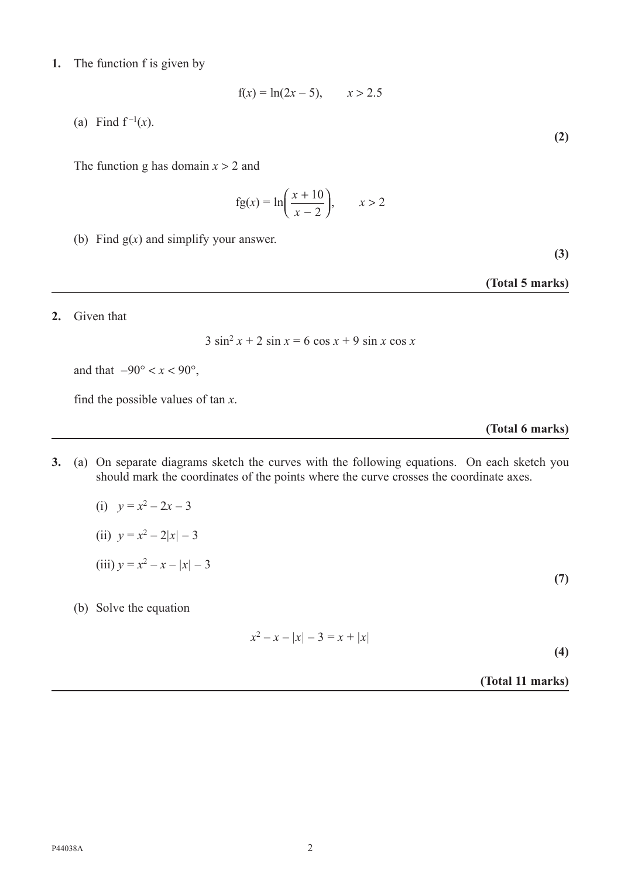$$
f(x) = \ln(2x - 5), \qquad x > 2.5
$$

(a) Find  $f^{-1}(x)$ .

The function g has domain  $x > 2$  and

$$
fg(x) = \ln\left(\frac{x+10}{x-2}\right), \qquad x > 2
$$

(b) Find g(*x*) and simplify your answer.

**(3)**

**(2)**

**(Total 5 marks)**

**2.** Given that

$$
3\sin^2 x + 2\sin x = 6\cos x + 9\sin x \cos x
$$

and that  $-90^{\circ} < x < 90^{\circ}$ ,

find the possible values of tan *x*.

#### **(Total 6 marks)**

- **3.** (a) On separate diagrams sketch the curves with the following equations. On each sketch you should mark the coordinates of the points where the curve crosses the coordinate axes.
- (i)  $y = x^2 2x 3$ 
	- (ii)  $y = x^2 2|x| 3$
	- (iii)  $y = x^2 x |x| 3$
	- (b) Solve the equation

$$
x^2 - x - |x| - 3 = x + |x|
$$

**(4)**

**(7)**

**(Total 11 marks)**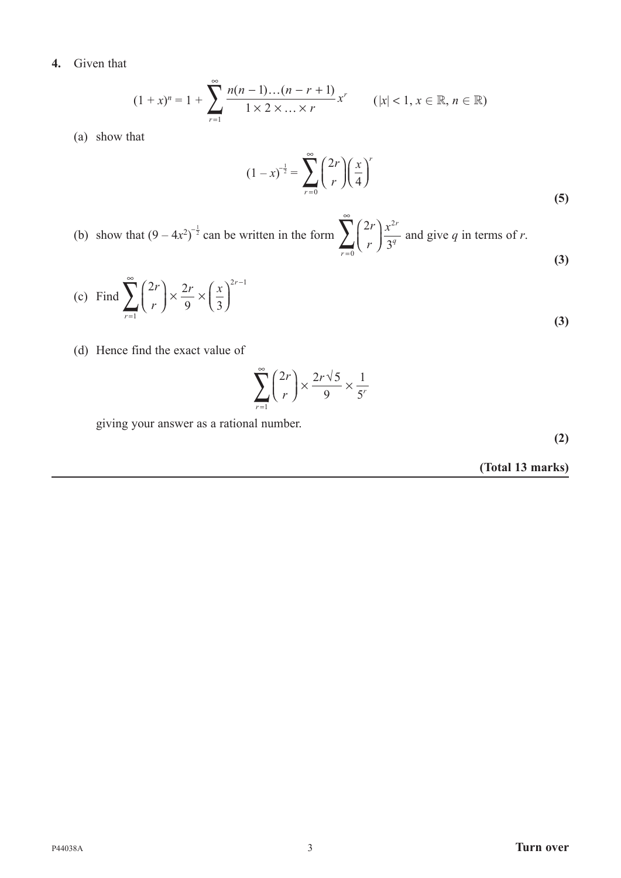## **4.** Given that

$$
(1+x)^n = 1 + \sum_{r=1}^{\infty} \frac{n(n-1)...(n-r+1)}{1 \times 2 \times ... \times r} x^r \qquad (|x| < 1, x \in \mathbb{R}, n \in \mathbb{R})
$$

(a) show that

$$
(1 - x)^{-\frac{1}{2}} = \sum_{r=0}^{\infty} {2r \choose r} \left(\frac{x}{4}\right)^r
$$
 (5)

(b) show that  $(9 - 4x^2)^{-\frac{1}{2}}$  can be written in the form  $r = 0$  $\sum_{r}^{\infty} \binom{2r}{r} \frac{x^2}{3}$  $r \lambda x^2$ *r*  $x^{2r}$ *q* ⎛ ⎝ ⎜ ⎞  $\int_{0}^{\infty}$  and give *q* in terms of *r*. **(3)**

(c) Find 
$$
\sum_{r=1}^{\infty} \binom{2r}{r} \times \frac{2r}{9} \times \left(\frac{x}{3}\right)^{2r-1}
$$
 (3)

(d) Hence find the exact value of

$$
\sum_{r=1}^{\infty} \binom{2r}{r} \times \frac{2r\sqrt{5}}{9} \times \frac{1}{5^r}
$$

giving your answer as a rational number.

**(2)**

## **(Total 13 marks)**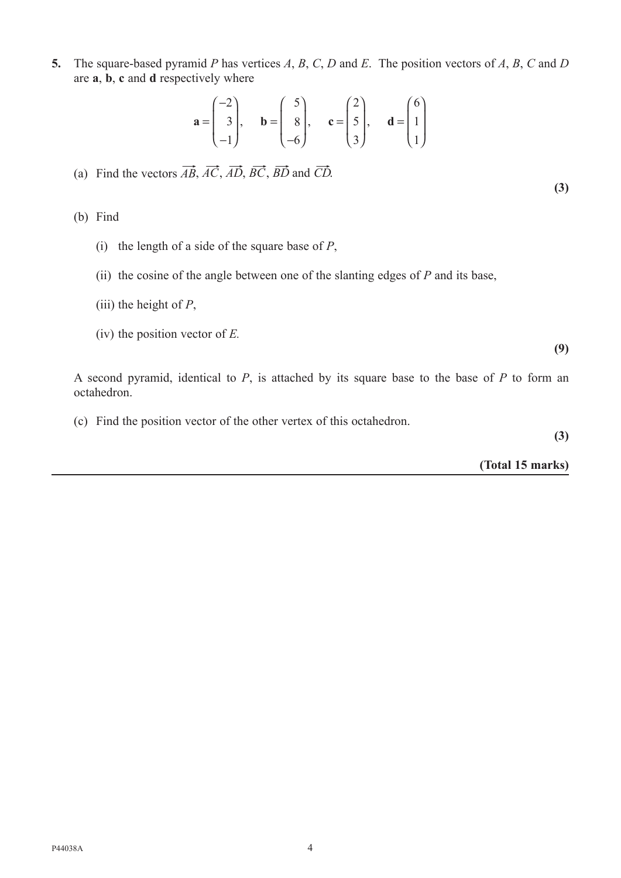**5.** The square-based pyramid *P* has vertices *A*, *B*, *C*, *D* and *E*. The position vectors of *A*, *B*, *C* and *D* are **a**, **b**, **c** and **d** respectively where

$$
\mathbf{a} = \begin{pmatrix} -2 \\ 3 \\ -1 \end{pmatrix}, \quad \mathbf{b} = \begin{pmatrix} 5 \\ 8 \\ -6 \end{pmatrix}, \quad \mathbf{c} = \begin{pmatrix} 2 \\ 5 \\ 3 \end{pmatrix}, \quad \mathbf{d} = \begin{pmatrix} 6 \\ 1 \\ 1 \end{pmatrix}
$$

(a) Find the vectors  $\overrightarrow{AB}$ ,  $\overrightarrow{AC}$ ,  $\overrightarrow{AD}$ ,  $\overrightarrow{BC}$ ,  $\overrightarrow{BD}$  and  $\overrightarrow{CD}$ .

(b) Find

- (i) the length of a side of the square base of *P*,
- (ii) the cosine of the angle between one of the slanting edges of *P* and its base,
- (iii) the height of *P*,
- (iv) the position vector of *E.*

**(9)**

A second pyramid, identical to *P*, is attached by its square base to the base of *P* to form an octahedron.

(c) Find the position vector of the other vertex of this octahedron.

**(3)**

**(Total 15 marks)**

**(3)**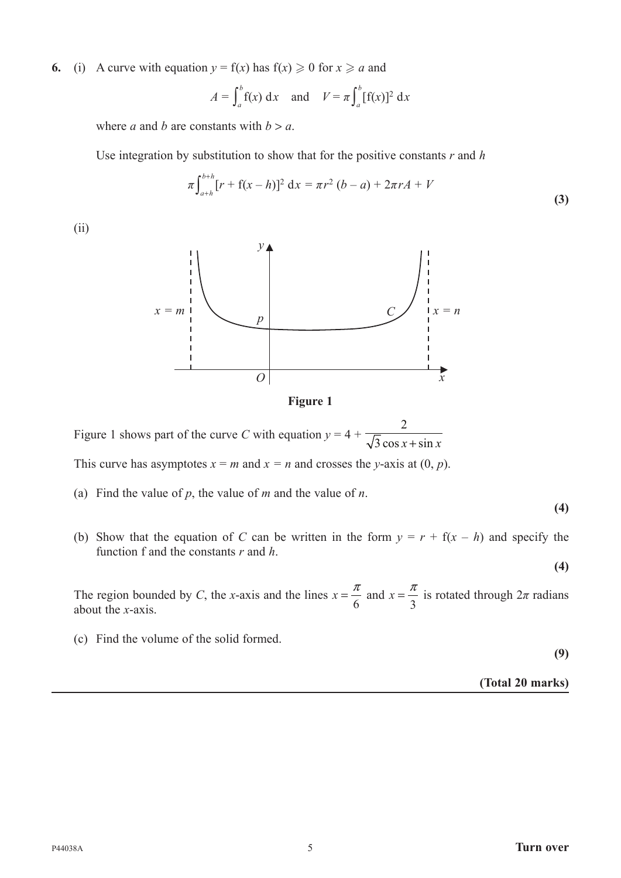**6.** (i) A curve with equation  $y = f(x)$  has  $f(x) \ge 0$  for  $x \ge a$  and

$$
A = \int_a^b f(x) dx \text{ and } V = \pi \int_a^b [f(x)]^2 dx
$$

where *a* and *b* are constants with  $b > a$ .

Use integration by substitution to show that for the positive constants *r* and *h*

$$
\pi \int_{a+h}^{b+h} [r + f(x-h)]^2 dx = \pi r^2 (b-a) + 2\pi r A + V
$$
 (3)

(ii)



**Figure 1**

Figure 1 shows part of the curve *C* with equation  $y = 4 + 1$ 2  $\sqrt{3}$  cos x + sin x

This curve has asymptotes  $x = m$  and  $x = n$  and crosses the *y*-axis at  $(0, p)$ .

- (a) Find the value of *p*, the value of *m* and the value of *n*.
- (b) Show that the equation of *C* can be written in the form  $y = r + f(x h)$  and specify the function f and the constants *r* and *h*.

**(4)**

**(4)**

The region bounded by *C*, the *x*-axis and the lines  $x = \frac{\pi}{6}$  and  $x = \frac{\pi}{3}$  is rotated through  $2\pi$  radians about the *x*-axis.

(c) Find the volume of the solid formed.

**(9)**

**(Total 20 marks)**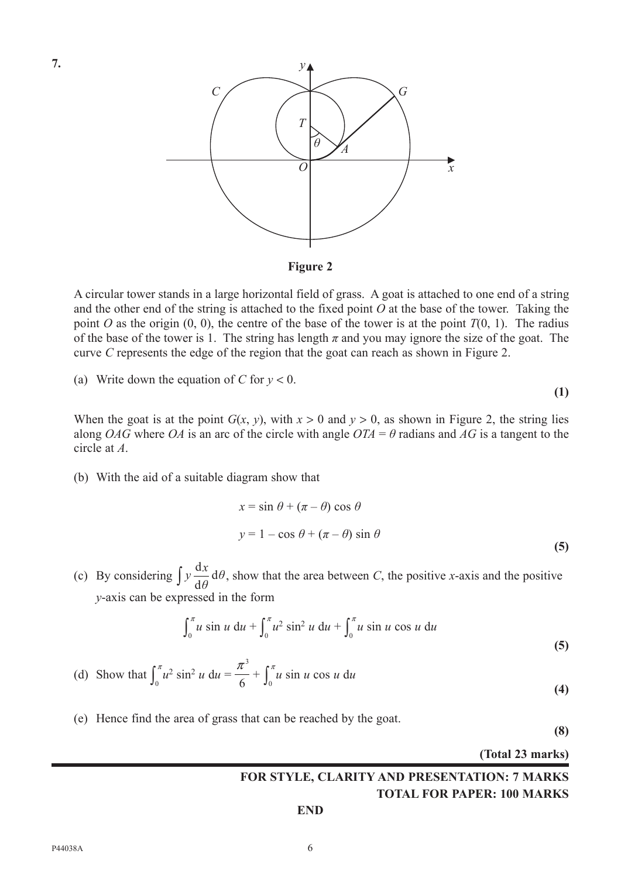

**Figure 2**

A circular tower stands in a large horizontal field of grass. A goat is attached to one end of a string and the other end of the string is attached to the fixed point *O* at the base of the tower. Taking the point *O* as the origin  $(0, 0)$ , the centre of the base of the tower is at the point  $T(0, 1)$ . The radius of the base of the tower is 1. The string has length  $\pi$  and you may ignore the size of the goat. The curve *C* represents the edge of the region that the goat can reach as shown in Figure 2.

(a) Write down the equation of 
$$
C
$$
 for  $y < 0$ .

When the goat is at the point  $G(x, y)$ , with  $x > 0$  and  $y > 0$ , as shown in Figure 2, the string lies along *OAG* where *OA* is an arc of the circle with angle  $OTA = \theta$  radians and *AG* is a tangent to the circle at *A*.

(b) With the aid of a suitable diagram show that

$$
x = \sin \theta + (\pi - \theta) \cos \theta
$$
  

$$
y = 1 - \cos \theta + (\pi - \theta) \sin \theta
$$
 (5)

(c) By considering  $\int y \frac{dx}{d\theta} d\theta$ , show that the area between *C*, the positive *x*-axis and the positive *y*-axis can be expressed in the form

$$
\int_0^{\pi} u \sin u \, du + \int_0^{\pi} u^2 \sin^2 u \, du + \int_0^{\pi} u \sin u \cos u \, du \tag{5}
$$

(d) Show that 
$$
\int_0^{\pi} u^2 \sin^2 u \, du = \frac{\pi^3}{6} + \int_0^{\pi} u \sin u \cos u \, du
$$

(e) Hence find the area of grass that can be reached by the goat.

**(Total 23 marks)**

## **FOR STYLE, CLARITY AND PRESENTATION: 7 MARKS TOTAL FOR PAPER: 100 MARKS**

#### **END**

**7.**

**(4)**

**(1)**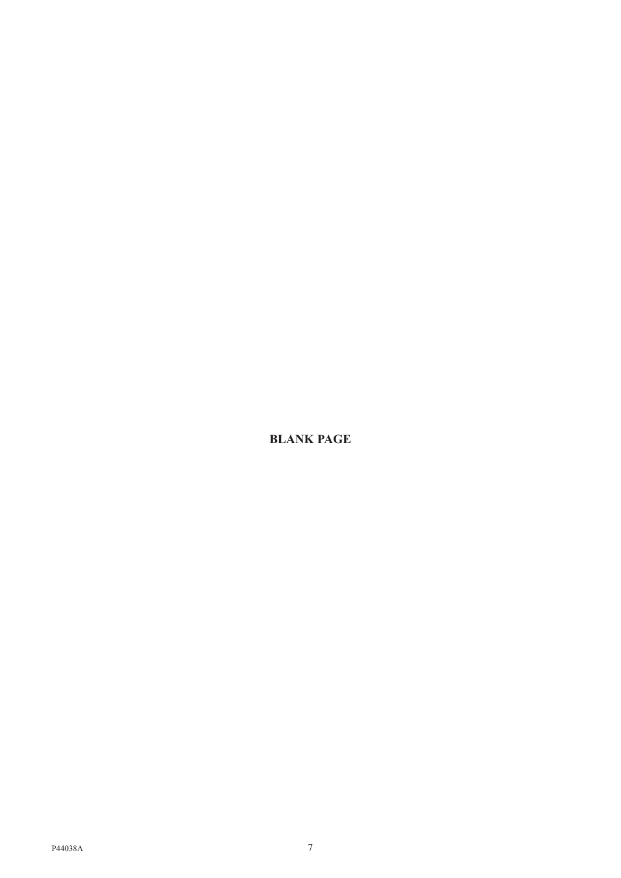**BLANK PAGE**